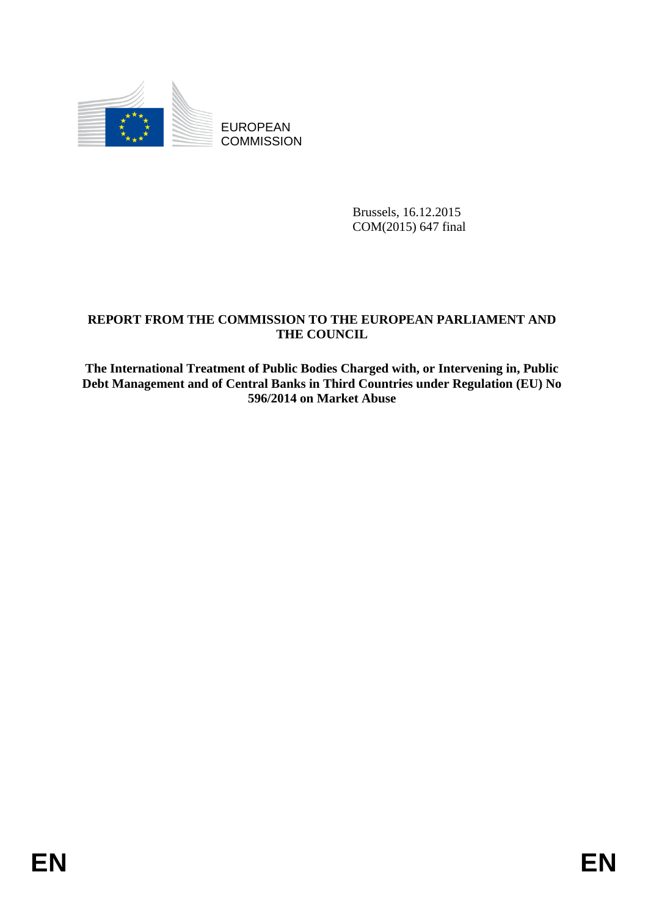

EUROPEAN **COMMISSION** 

> Brussels, 16.12.2015 COM(2015) 647 final

## **REPORT FROM THE COMMISSION TO THE EUROPEAN PARLIAMENT AND THE COUNCIL**

**The International Treatment of Public Bodies Charged with, or Intervening in, Public Debt Management and of Central Banks in Third Countries under Regulation (EU) No 596/2014 on Market Abuse**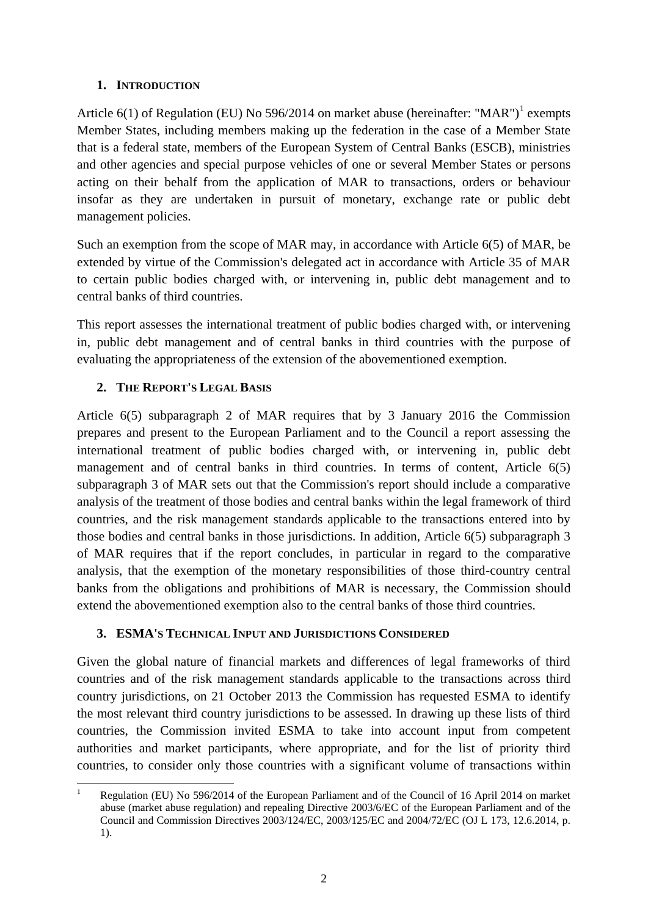### **1. INTRODUCTION**

Article  $6(1)$  of Regulation (EU) No 596/2014 on market abuse (hereinafter: "MAR")<sup>1</sup> exempts Member States, including members making up the federation in the case of a Member State that is a federal state, members of the European System of Central Banks (ESCB), ministries and other agencies and special purpose vehicles of one or several Member States or persons acting on their behalf from the application of MAR to transactions, orders or behaviour insofar as they are undertaken in pursuit of monetary, exchange rate or public debt management policies.

Such an exemption from the scope of MAR may, in accordance with Article 6(5) of MAR, be extended by virtue of the Commission's delegated act in accordance with Article 35 of MAR to certain public bodies charged with, or intervening in, public debt management and to central banks of third countries.

This report assesses the international treatment of public bodies charged with, or intervening in, public debt management and of central banks in third countries with the purpose of evaluating the appropriateness of the extension of the abovementioned exemption.

## **2. THE REPORT'S LEGAL BASIS**

Article 6(5) subparagraph 2 of MAR requires that by 3 January 2016 the Commission prepares and present to the European Parliament and to the Council a report assessing the international treatment of public bodies charged with, or intervening in, public debt management and of central banks in third countries. In terms of content, Article 6(5) subparagraph 3 of MAR sets out that the Commission's report should include a comparative analysis of the treatment of those bodies and central banks within the legal framework of third countries, and the risk management standards applicable to the transactions entered into by those bodies and central banks in those jurisdictions. In addition, Article 6(5) subparagraph 3 of MAR requires that if the report concludes, in particular in regard to the comparative analysis, that the exemption of the monetary responsibilities of those third-country central banks from the obligations and prohibitions of MAR is necessary, the Commission should extend the abovementioned exemption also to the central banks of those third countries.

## **3. ESMA'S TECHNICAL INPUT AND JURISDICTIONS CONSIDERED**

Given the global nature of financial markets and differences of legal frameworks of third countries and of the risk management standards applicable to the transactions across third country jurisdictions, on 21 October 2013 the Commission has requested ESMA to identify the most relevant third country jurisdictions to be assessed. In drawing up these lists of third countries, the Commission invited ESMA to take into account input from competent authorities and market participants, where appropriate, and for the list of priority third countries, to consider only those countries with a significant volume of transactions within

**<sup>.</sup>** <sup>1</sup> Regulation (EU) No 596/2014 of the European Parliament and of the Council of 16 April 2014 on market abuse (market abuse regulation) and repealing Directive 2003/6/EC of the European Parliament and of the Council and Commission Directives 2003/124/EC, 2003/125/EC and 2004/72/EC (OJ L 173, 12.6.2014, p. 1).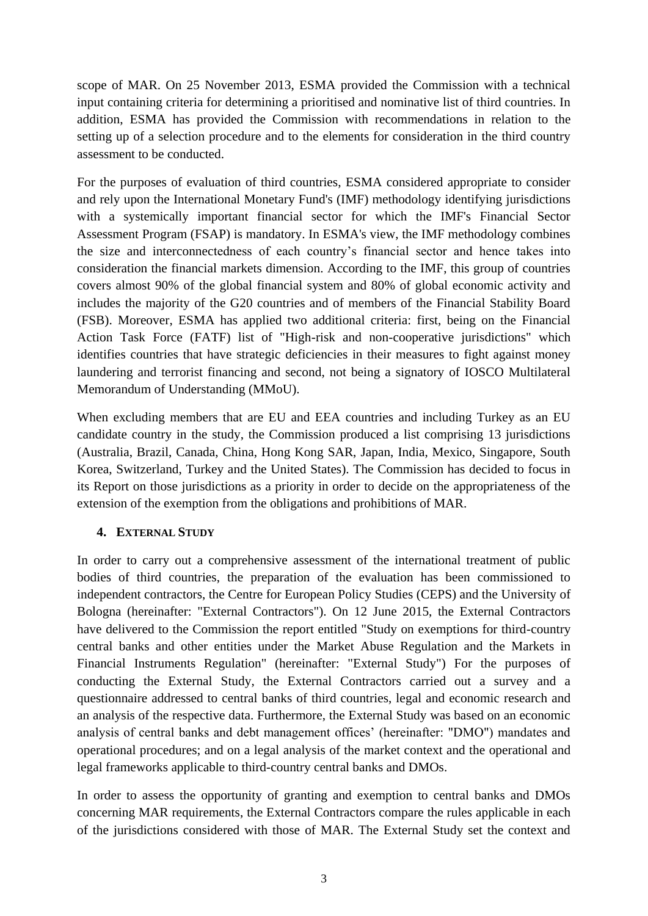scope of MAR. On 25 November 2013, ESMA provided the Commission with a technical input containing criteria for determining a prioritised and nominative list of third countries. In addition, ESMA has provided the Commission with recommendations in relation to the setting up of a selection procedure and to the elements for consideration in the third country assessment to be conducted.

For the purposes of evaluation of third countries, ESMA considered appropriate to consider and rely upon the International Monetary Fund's (IMF) methodology identifying jurisdictions with a systemically important financial sector for which the IMF's Financial Sector Assessment Program (FSAP) is mandatory. In ESMA's view, the IMF methodology combines the size and interconnectedness of each country's financial sector and hence takes into consideration the financial markets dimension. According to the IMF, this group of countries covers almost 90% of the global financial system and 80% of global economic activity and includes the majority of the G20 countries and of members of the Financial Stability Board (FSB). Moreover, ESMA has applied two additional criteria: first, being on the Financial Action Task Force (FATF) list of "High-risk and non-cooperative jurisdictions" which identifies countries that have strategic deficiencies in their measures to fight against money laundering and terrorist financing and second, not being a signatory of IOSCO Multilateral Memorandum of Understanding (MMoU).

When excluding members that are EU and EEA countries and including Turkey as an EU candidate country in the study, the Commission produced a list comprising 13 jurisdictions (Australia, Brazil, Canada, China, Hong Kong SAR, Japan, India, Mexico, Singapore, South Korea, Switzerland, Turkey and the United States). The Commission has decided to focus in its Report on those jurisdictions as a priority in order to decide on the appropriateness of the extension of the exemption from the obligations and prohibitions of MAR.

## **4. EXTERNAL STUDY**

In order to carry out a comprehensive assessment of the international treatment of public bodies of third countries, the preparation of the evaluation has been commissioned to independent contractors, the Centre for European Policy Studies (CEPS) and the University of Bologna (hereinafter: "External Contractors"). On 12 June 2015, the External Contractors have delivered to the Commission the report entitled "Study on exemptions for third-country central banks and other entities under the Market Abuse Regulation and the Markets in Financial Instruments Regulation" (hereinafter: "External Study") For the purposes of conducting the External Study, the External Contractors carried out a survey and a questionnaire addressed to central banks of third countries, legal and economic research and an analysis of the respective data. Furthermore, the External Study was based on an economic analysis of central banks and debt management offices' (hereinafter: "DMO") mandates and operational procedures; and on a legal analysis of the market context and the operational and legal frameworks applicable to third-country central banks and DMOs.

In order to assess the opportunity of granting and exemption to central banks and DMOs concerning MAR requirements, the External Contractors compare the rules applicable in each of the jurisdictions considered with those of MAR. The External Study set the context and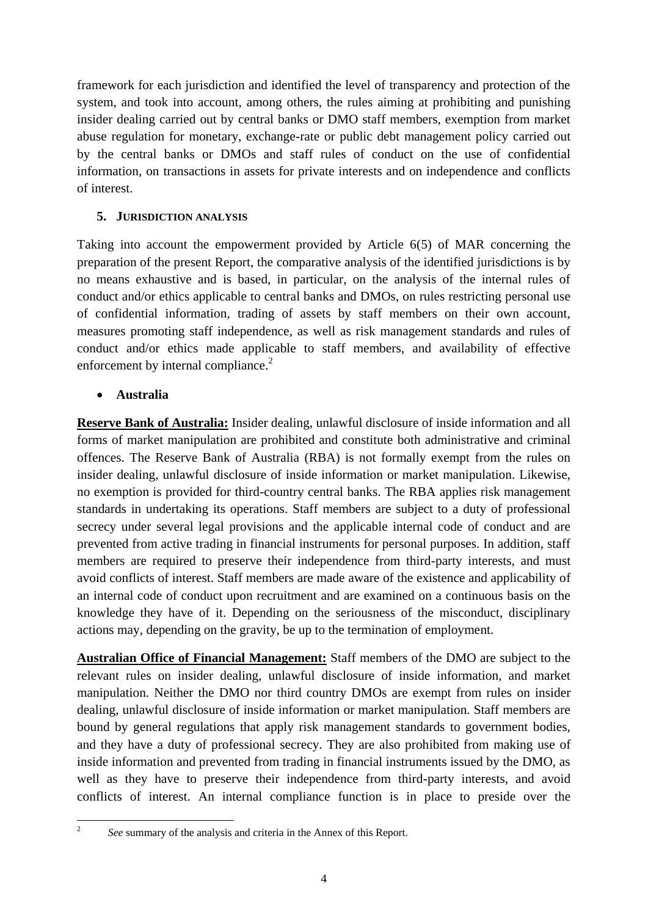framework for each jurisdiction and identified the level of transparency and protection of the system, and took into account, among others, the rules aiming at prohibiting and punishing insider dealing carried out by central banks or DMO staff members, exemption from market abuse regulation for monetary, exchange-rate or public debt management policy carried out by the central banks or DMOs and staff rules of conduct on the use of confidential information, on transactions in assets for private interests and on independence and conflicts of interest.

### **5. JURISDICTION ANALYSIS**

Taking into account the empowerment provided by Article 6(5) of MAR concerning the preparation of the present Report, the comparative analysis of the identified jurisdictions is by no means exhaustive and is based, in particular, on the analysis of the internal rules of conduct and/or ethics applicable to central banks and DMOs, on rules restricting personal use of confidential information, trading of assets by staff members on their own account, measures promoting staff independence, as well as risk management standards and rules of conduct and/or ethics made applicable to staff members, and availability of effective enforcement by internal compliance. $2^2$ 

### **Australia**

**Reserve Bank of Australia:** Insider dealing, unlawful disclosure of inside information and all forms of market manipulation are prohibited and constitute both administrative and criminal offences. The Reserve Bank of Australia (RBA) is not formally exempt from the rules on insider dealing, unlawful disclosure of inside information or market manipulation. Likewise, no exemption is provided for third-country central banks. The RBA applies risk management standards in undertaking its operations. Staff members are subject to a duty of professional secrecy under several legal provisions and the applicable internal code of conduct and are prevented from active trading in financial instruments for personal purposes. In addition, staff members are required to preserve their independence from third-party interests, and must avoid conflicts of interest. Staff members are made aware of the existence and applicability of an internal code of conduct upon recruitment and are examined on a continuous basis on the knowledge they have of it. Depending on the seriousness of the misconduct, disciplinary actions may, depending on the gravity, be up to the termination of employment.

**Australian Office of Financial Management:** Staff members of the DMO are subject to the relevant rules on insider dealing, unlawful disclosure of inside information, and market manipulation. Neither the DMO nor third country DMOs are exempt from rules on insider dealing, unlawful disclosure of inside information or market manipulation. Staff members are bound by general regulations that apply risk management standards to government bodies, and they have a duty of professional secrecy. They are also prohibited from making use of inside information and prevented from trading in financial instruments issued by the DMO, as well as they have to preserve their independence from third-party interests, and avoid conflicts of interest. An internal compliance function is in place to preside over the

 $\frac{1}{2}$ 

*See* summary of the analysis and criteria in the Annex of this Report.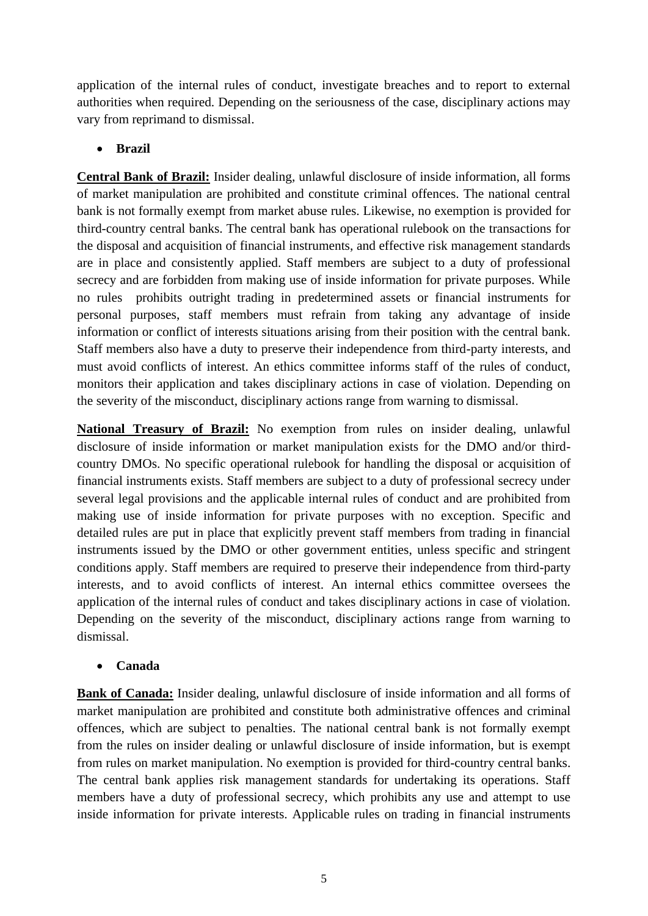application of the internal rules of conduct, investigate breaches and to report to external authorities when required. Depending on the seriousness of the case, disciplinary actions may vary from reprimand to dismissal.

### **Brazil**

**Central Bank of Brazil:** Insider dealing, unlawful disclosure of inside information, all forms of market manipulation are prohibited and constitute criminal offences. The national central bank is not formally exempt from market abuse rules. Likewise, no exemption is provided for third-country central banks. The central bank has operational rulebook on the transactions for the disposal and acquisition of financial instruments, and effective risk management standards are in place and consistently applied. Staff members are subject to a duty of professional secrecy and are forbidden from making use of inside information for private purposes. While no rules prohibits outright trading in predetermined assets or financial instruments for personal purposes, staff members must refrain from taking any advantage of inside information or conflict of interests situations arising from their position with the central bank. Staff members also have a duty to preserve their independence from third-party interests, and must avoid conflicts of interest. An ethics committee informs staff of the rules of conduct, monitors their application and takes disciplinary actions in case of violation. Depending on the severity of the misconduct, disciplinary actions range from warning to dismissal.

**National Treasury of Brazil:** No exemption from rules on insider dealing, unlawful disclosure of inside information or market manipulation exists for the DMO and/or thirdcountry DMOs. No specific operational rulebook for handling the disposal or acquisition of financial instruments exists. Staff members are subject to a duty of professional secrecy under several legal provisions and the applicable internal rules of conduct and are prohibited from making use of inside information for private purposes with no exception. Specific and detailed rules are put in place that explicitly prevent staff members from trading in financial instruments issued by the DMO or other government entities, unless specific and stringent conditions apply. Staff members are required to preserve their independence from third-party interests, and to avoid conflicts of interest. An internal ethics committee oversees the application of the internal rules of conduct and takes disciplinary actions in case of violation. Depending on the severity of the misconduct, disciplinary actions range from warning to dismissal.

#### **Canada**

**Bank of Canada:** Insider dealing, unlawful disclosure of inside information and all forms of market manipulation are prohibited and constitute both administrative offences and criminal offences, which are subject to penalties. The national central bank is not formally exempt from the rules on insider dealing or unlawful disclosure of inside information, but is exempt from rules on market manipulation. No exemption is provided for third-country central banks. The central bank applies risk management standards for undertaking its operations. Staff members have a duty of professional secrecy, which prohibits any use and attempt to use inside information for private interests. Applicable rules on trading in financial instruments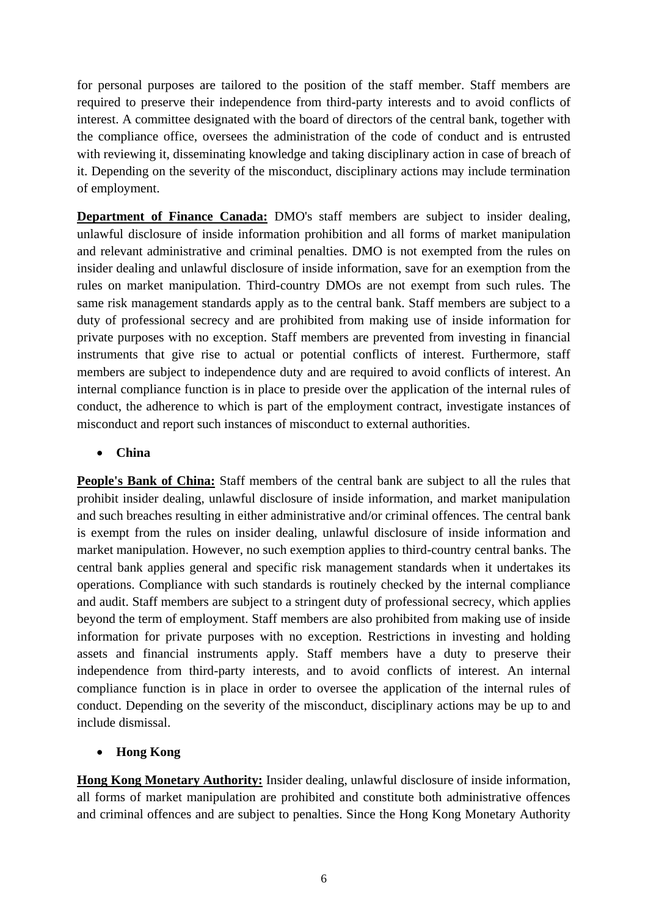for personal purposes are tailored to the position of the staff member. Staff members are required to preserve their independence from third-party interests and to avoid conflicts of interest. A committee designated with the board of directors of the central bank, together with the compliance office, oversees the administration of the code of conduct and is entrusted with reviewing it, disseminating knowledge and taking disciplinary action in case of breach of it. Depending on the severity of the misconduct, disciplinary actions may include termination of employment.

**Department of Finance Canada:** DMO's staff members are subject to insider dealing, unlawful disclosure of inside information prohibition and all forms of market manipulation and relevant administrative and criminal penalties. DMO is not exempted from the rules on insider dealing and unlawful disclosure of inside information, save for an exemption from the rules on market manipulation. Third-country DMOs are not exempt from such rules. The same risk management standards apply as to the central bank. Staff members are subject to a duty of professional secrecy and are prohibited from making use of inside information for private purposes with no exception. Staff members are prevented from investing in financial instruments that give rise to actual or potential conflicts of interest. Furthermore, staff members are subject to independence duty and are required to avoid conflicts of interest. An internal compliance function is in place to preside over the application of the internal rules of conduct, the adherence to which is part of the employment contract, investigate instances of misconduct and report such instances of misconduct to external authorities.

### **China**

**People's Bank of China:** Staff members of the central bank are subject to all the rules that prohibit insider dealing, unlawful disclosure of inside information, and market manipulation and such breaches resulting in either administrative and/or criminal offences. The central bank is exempt from the rules on insider dealing, unlawful disclosure of inside information and market manipulation. However, no such exemption applies to third-country central banks. The central bank applies general and specific risk management standards when it undertakes its operations. Compliance with such standards is routinely checked by the internal compliance and audit. Staff members are subject to a stringent duty of professional secrecy, which applies beyond the term of employment. Staff members are also prohibited from making use of inside information for private purposes with no exception. Restrictions in investing and holding assets and financial instruments apply. Staff members have a duty to preserve their independence from third-party interests, and to avoid conflicts of interest. An internal compliance function is in place in order to oversee the application of the internal rules of conduct. Depending on the severity of the misconduct, disciplinary actions may be up to and include dismissal.

## **Hong Kong**

**Hong Kong Monetary Authority:** Insider dealing, unlawful disclosure of inside information, all forms of market manipulation are prohibited and constitute both administrative offences and criminal offences and are subject to penalties. Since the Hong Kong Monetary Authority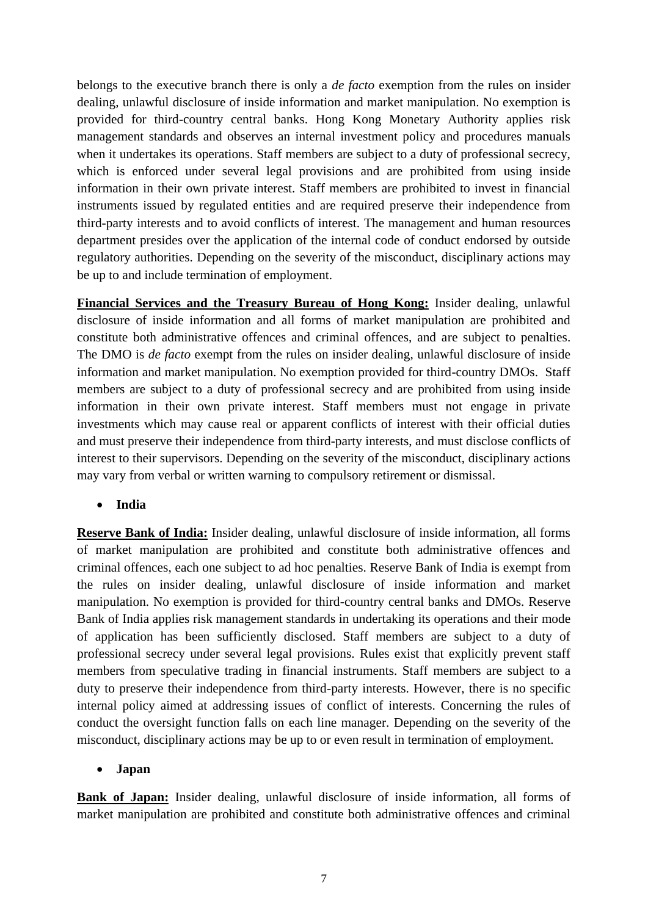belongs to the executive branch there is only a *de facto* exemption from the rules on insider dealing, unlawful disclosure of inside information and market manipulation. No exemption is provided for third-country central banks. Hong Kong Monetary Authority applies risk management standards and observes an internal investment policy and procedures manuals when it undertakes its operations. Staff members are subject to a duty of professional secrecy, which is enforced under several legal provisions and are prohibited from using inside information in their own private interest. Staff members are prohibited to invest in financial instruments issued by regulated entities and are required preserve their independence from third-party interests and to avoid conflicts of interest. The management and human resources department presides over the application of the internal code of conduct endorsed by outside regulatory authorities. Depending on the severity of the misconduct, disciplinary actions may be up to and include termination of employment.

**Financial Services and the Treasury Bureau of Hong Kong:** Insider dealing, unlawful disclosure of inside information and all forms of market manipulation are prohibited and constitute both administrative offences and criminal offences, and are subject to penalties. The DMO is *de facto* exempt from the rules on insider dealing, unlawful disclosure of inside information and market manipulation. No exemption provided for third-country DMOs. Staff members are subject to a duty of professional secrecy and are prohibited from using inside information in their own private interest. Staff members must not engage in private investments which may cause real or apparent conflicts of interest with their official duties and must preserve their independence from third-party interests, and must disclose conflicts of interest to their supervisors. Depending on the severity of the misconduct, disciplinary actions may vary from verbal or written warning to compulsory retirement or dismissal.

#### **India**

**Reserve Bank of India:** Insider dealing, unlawful disclosure of inside information, all forms of market manipulation are prohibited and constitute both administrative offences and criminal offences, each one subject to ad hoc penalties. Reserve Bank of India is exempt from the rules on insider dealing, unlawful disclosure of inside information and market manipulation. No exemption is provided for third-country central banks and DMOs. Reserve Bank of India applies risk management standards in undertaking its operations and their mode of application has been sufficiently disclosed. Staff members are subject to a duty of professional secrecy under several legal provisions. Rules exist that explicitly prevent staff members from speculative trading in financial instruments. Staff members are subject to a duty to preserve their independence from third-party interests. However, there is no specific internal policy aimed at addressing issues of conflict of interests. Concerning the rules of conduct the oversight function falls on each line manager. Depending on the severity of the misconduct, disciplinary actions may be up to or even result in termination of employment.

#### **Japan**

**Bank of Japan:** Insider dealing, unlawful disclosure of inside information, all forms of market manipulation are prohibited and constitute both administrative offences and criminal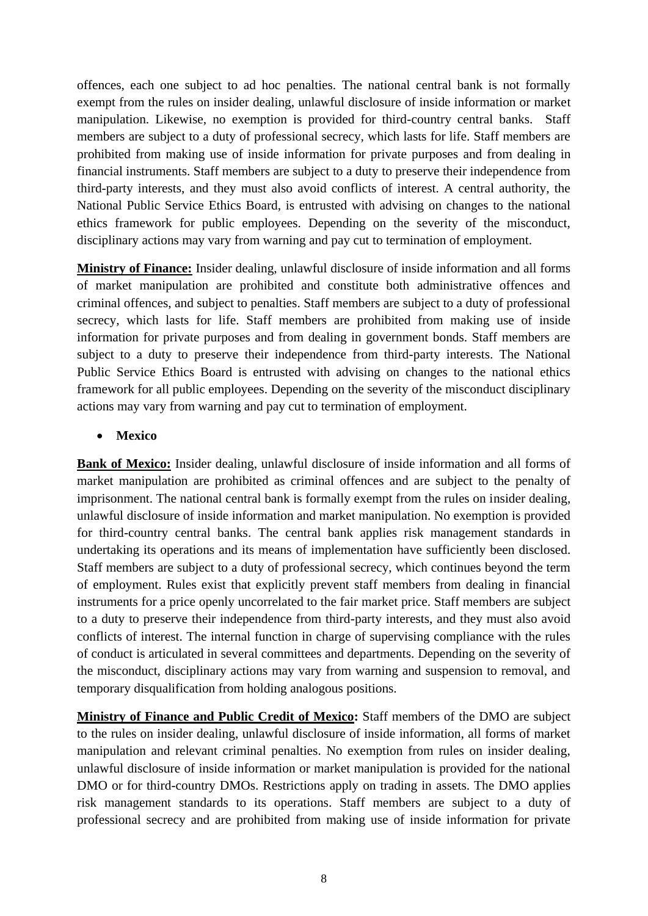offences, each one subject to ad hoc penalties. The national central bank is not formally exempt from the rules on insider dealing, unlawful disclosure of inside information or market manipulation. Likewise, no exemption is provided for third-country central banks. Staff members are subject to a duty of professional secrecy, which lasts for life. Staff members are prohibited from making use of inside information for private purposes and from dealing in financial instruments. Staff members are subject to a duty to preserve their independence from third-party interests, and they must also avoid conflicts of interest. A central authority, the National Public Service Ethics Board, is entrusted with advising on changes to the national ethics framework for public employees. Depending on the severity of the misconduct, disciplinary actions may vary from warning and pay cut to termination of employment.

**Ministry of Finance:** Insider dealing, unlawful disclosure of inside information and all forms of market manipulation are prohibited and constitute both administrative offences and criminal offences, and subject to penalties. Staff members are subject to a duty of professional secrecy, which lasts for life. Staff members are prohibited from making use of inside information for private purposes and from dealing in government bonds. Staff members are subject to a duty to preserve their independence from third-party interests. The National Public Service Ethics Board is entrusted with advising on changes to the national ethics framework for all public employees. Depending on the severity of the misconduct disciplinary actions may vary from warning and pay cut to termination of employment.

#### **Mexico**

**Bank of Mexico:** Insider dealing, unlawful disclosure of inside information and all forms of market manipulation are prohibited as criminal offences and are subject to the penalty of imprisonment. The national central bank is formally exempt from the rules on insider dealing, unlawful disclosure of inside information and market manipulation. No exemption is provided for third-country central banks. The central bank applies risk management standards in undertaking its operations and its means of implementation have sufficiently been disclosed. Staff members are subject to a duty of professional secrecy, which continues beyond the term of employment. Rules exist that explicitly prevent staff members from dealing in financial instruments for a price openly uncorrelated to the fair market price. Staff members are subject to a duty to preserve their independence from third-party interests, and they must also avoid conflicts of interest. The internal function in charge of supervising compliance with the rules of conduct is articulated in several committees and departments. Depending on the severity of the misconduct, disciplinary actions may vary from warning and suspension to removal, and temporary disqualification from holding analogous positions.

**Ministry of Finance and Public Credit of Mexico:** Staff members of the DMO are subject to the rules on insider dealing, unlawful disclosure of inside information, all forms of market manipulation and relevant criminal penalties. No exemption from rules on insider dealing, unlawful disclosure of inside information or market manipulation is provided for the national DMO or for third-country DMOs. Restrictions apply on trading in assets. The DMO applies risk management standards to its operations. Staff members are subject to a duty of professional secrecy and are prohibited from making use of inside information for private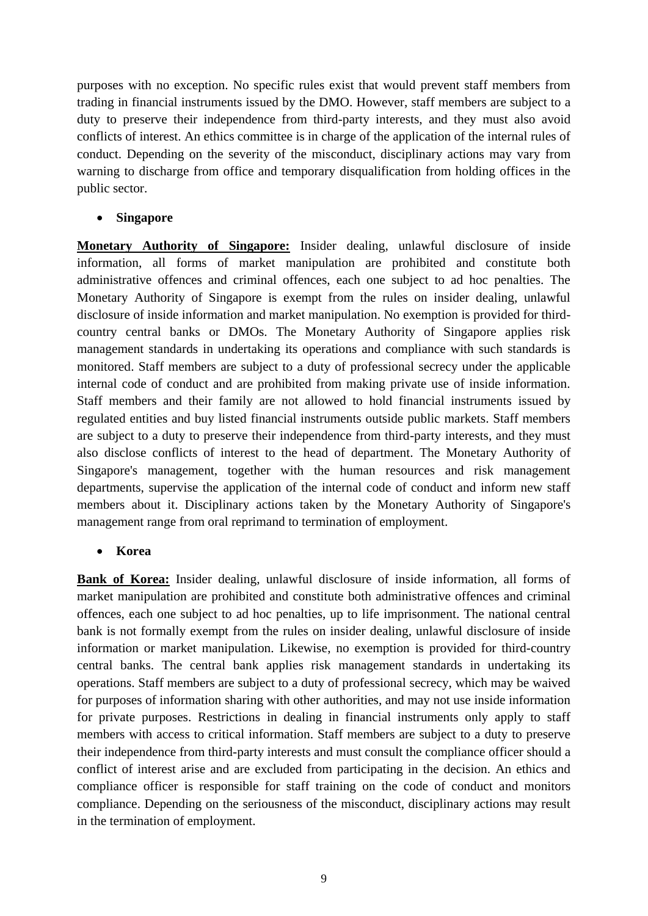purposes with no exception. No specific rules exist that would prevent staff members from trading in financial instruments issued by the DMO. However, staff members are subject to a duty to preserve their independence from third-party interests, and they must also avoid conflicts of interest. An ethics committee is in charge of the application of the internal rules of conduct. Depending on the severity of the misconduct, disciplinary actions may vary from warning to discharge from office and temporary disqualification from holding offices in the public sector.

#### **Singapore**

**Monetary Authority of Singapore:** Insider dealing, unlawful disclosure of inside information, all forms of market manipulation are prohibited and constitute both administrative offences and criminal offences, each one subject to ad hoc penalties. The Monetary Authority of Singapore is exempt from the rules on insider dealing, unlawful disclosure of inside information and market manipulation. No exemption is provided for thirdcountry central banks or DMOs. The Monetary Authority of Singapore applies risk management standards in undertaking its operations and compliance with such standards is monitored. Staff members are subject to a duty of professional secrecy under the applicable internal code of conduct and are prohibited from making private use of inside information. Staff members and their family are not allowed to hold financial instruments issued by regulated entities and buy listed financial instruments outside public markets. Staff members are subject to a duty to preserve their independence from third-party interests, and they must also disclose conflicts of interest to the head of department. The Monetary Authority of Singapore's management, together with the human resources and risk management departments, supervise the application of the internal code of conduct and inform new staff members about it. Disciplinary actions taken by the Monetary Authority of Singapore's management range from oral reprimand to termination of employment.

#### **Korea**

**Bank of Korea:** Insider dealing, unlawful disclosure of inside information, all forms of market manipulation are prohibited and constitute both administrative offences and criminal offences, each one subject to ad hoc penalties, up to life imprisonment. The national central bank is not formally exempt from the rules on insider dealing, unlawful disclosure of inside information or market manipulation. Likewise, no exemption is provided for third-country central banks. The central bank applies risk management standards in undertaking its operations. Staff members are subject to a duty of professional secrecy, which may be waived for purposes of information sharing with other authorities, and may not use inside information for private purposes. Restrictions in dealing in financial instruments only apply to staff members with access to critical information. Staff members are subject to a duty to preserve their independence from third-party interests and must consult the compliance officer should a conflict of interest arise and are excluded from participating in the decision. An ethics and compliance officer is responsible for staff training on the code of conduct and monitors compliance. Depending on the seriousness of the misconduct, disciplinary actions may result in the termination of employment.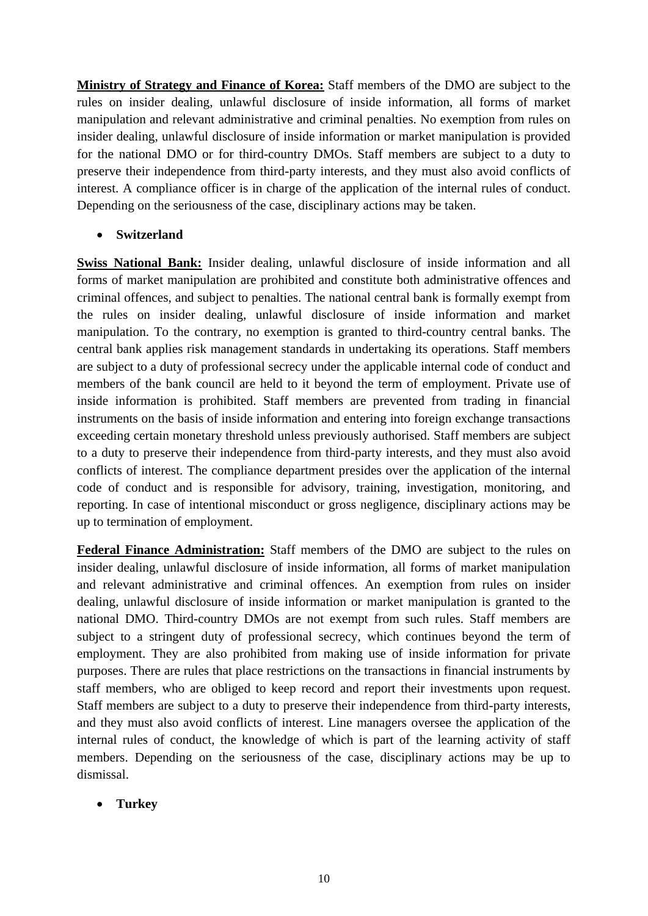**Ministry of Strategy and Finance of Korea:** Staff members of the DMO are subject to the rules on insider dealing, unlawful disclosure of inside information, all forms of market manipulation and relevant administrative and criminal penalties. No exemption from rules on insider dealing, unlawful disclosure of inside information or market manipulation is provided for the national DMO or for third-country DMOs. Staff members are subject to a duty to preserve their independence from third-party interests, and they must also avoid conflicts of interest. A compliance officer is in charge of the application of the internal rules of conduct. Depending on the seriousness of the case, disciplinary actions may be taken.

**Switzerland** 

**Swiss National Bank:** Insider dealing, unlawful disclosure of inside information and all forms of market manipulation are prohibited and constitute both administrative offences and criminal offences, and subject to penalties. The national central bank is formally exempt from the rules on insider dealing, unlawful disclosure of inside information and market manipulation. To the contrary, no exemption is granted to third-country central banks. The central bank applies risk management standards in undertaking its operations. Staff members are subject to a duty of professional secrecy under the applicable internal code of conduct and members of the bank council are held to it beyond the term of employment. Private use of inside information is prohibited. Staff members are prevented from trading in financial instruments on the basis of inside information and entering into foreign exchange transactions exceeding certain monetary threshold unless previously authorised. Staff members are subject to a duty to preserve their independence from third-party interests, and they must also avoid conflicts of interest. The compliance department presides over the application of the internal code of conduct and is responsible for advisory, training, investigation, monitoring, and reporting. In case of intentional misconduct or gross negligence, disciplinary actions may be up to termination of employment.

**Federal Finance Administration:** Staff members of the DMO are subject to the rules on insider dealing, unlawful disclosure of inside information, all forms of market manipulation and relevant administrative and criminal offences. An exemption from rules on insider dealing, unlawful disclosure of inside information or market manipulation is granted to the national DMO. Third-country DMOs are not exempt from such rules. Staff members are subject to a stringent duty of professional secrecy, which continues beyond the term of employment. They are also prohibited from making use of inside information for private purposes. There are rules that place restrictions on the transactions in financial instruments by staff members, who are obliged to keep record and report their investments upon request. Staff members are subject to a duty to preserve their independence from third-party interests, and they must also avoid conflicts of interest. Line managers oversee the application of the internal rules of conduct, the knowledge of which is part of the learning activity of staff members. Depending on the seriousness of the case, disciplinary actions may be up to dismissal.

**Turkey**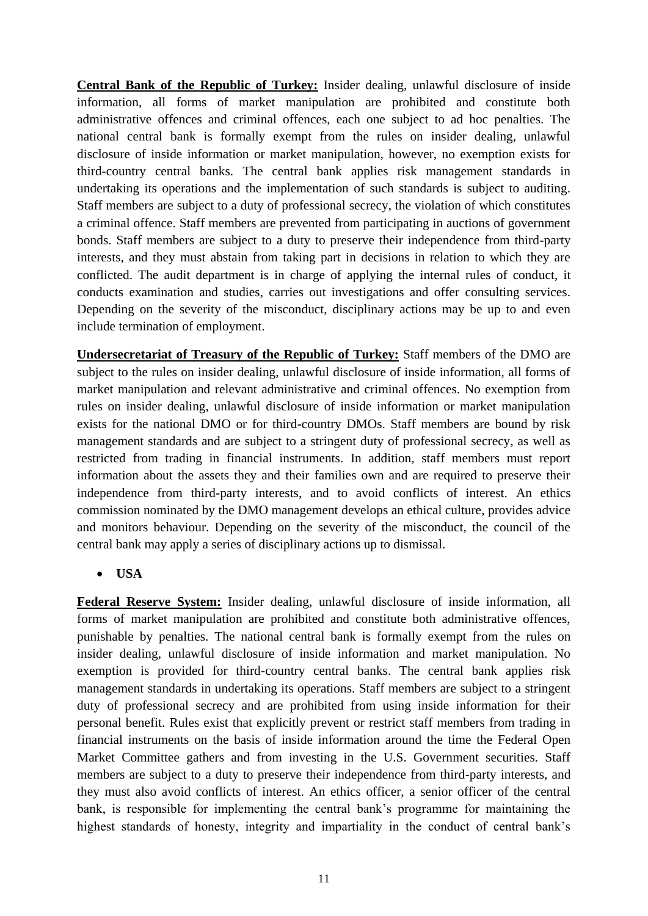**Central Bank of the Republic of Turkey:** Insider dealing, unlawful disclosure of inside information, all forms of market manipulation are prohibited and constitute both administrative offences and criminal offences, each one subject to ad hoc penalties. The national central bank is formally exempt from the rules on insider dealing, unlawful disclosure of inside information or market manipulation, however, no exemption exists for third-country central banks. The central bank applies risk management standards in undertaking its operations and the implementation of such standards is subject to auditing. Staff members are subject to a duty of professional secrecy, the violation of which constitutes a criminal offence. Staff members are prevented from participating in auctions of government bonds. Staff members are subject to a duty to preserve their independence from third-party interests, and they must abstain from taking part in decisions in relation to which they are conflicted. The audit department is in charge of applying the internal rules of conduct, it conducts examination and studies, carries out investigations and offer consulting services. Depending on the severity of the misconduct, disciplinary actions may be up to and even include termination of employment.

**Undersecretariat of Treasury of the Republic of Turkey:** Staff members of the DMO are subject to the rules on insider dealing, unlawful disclosure of inside information, all forms of market manipulation and relevant administrative and criminal offences. No exemption from rules on insider dealing, unlawful disclosure of inside information or market manipulation exists for the national DMO or for third-country DMOs. Staff members are bound by risk management standards and are subject to a stringent duty of professional secrecy, as well as restricted from trading in financial instruments. In addition, staff members must report information about the assets they and their families own and are required to preserve their independence from third-party interests, and to avoid conflicts of interest. An ethics commission nominated by the DMO management develops an ethical culture, provides advice and monitors behaviour. Depending on the severity of the misconduct, the council of the central bank may apply a series of disciplinary actions up to dismissal.

**USA**

**Federal Reserve System:** Insider dealing, unlawful disclosure of inside information, all forms of market manipulation are prohibited and constitute both administrative offences, punishable by penalties. The national central bank is formally exempt from the rules on insider dealing, unlawful disclosure of inside information and market manipulation. No exemption is provided for third-country central banks. The central bank applies risk management standards in undertaking its operations. Staff members are subject to a stringent duty of professional secrecy and are prohibited from using inside information for their personal benefit. Rules exist that explicitly prevent or restrict staff members from trading in financial instruments on the basis of inside information around the time the Federal Open Market Committee gathers and from investing in the U.S. Government securities. Staff members are subject to a duty to preserve their independence from third-party interests, and they must also avoid conflicts of interest. An ethics officer, a senior officer of the central bank, is responsible for implementing the central bank's programme for maintaining the highest standards of honesty, integrity and impartiality in the conduct of central bank's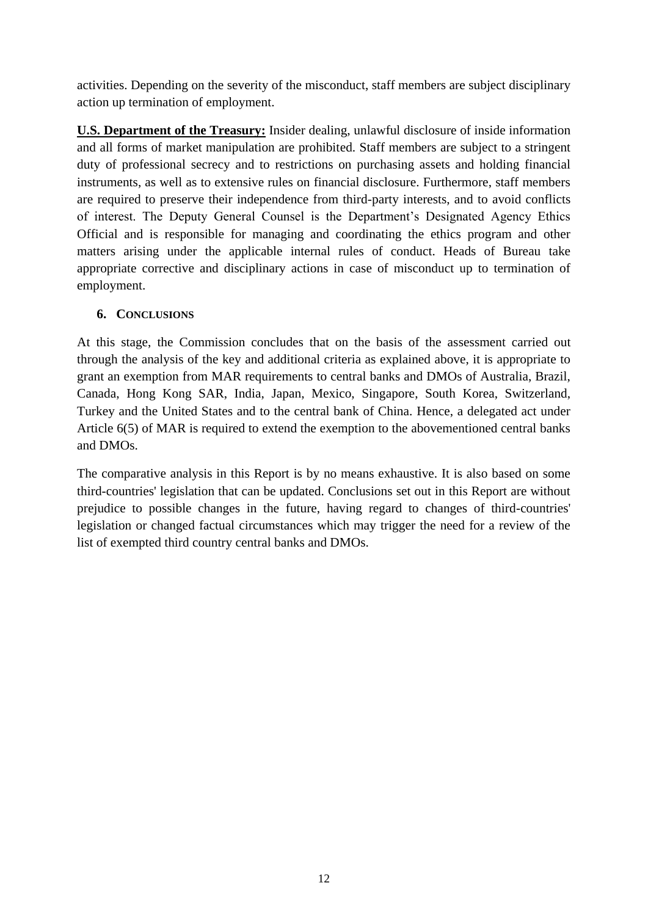activities. Depending on the severity of the misconduct, staff members are subject disciplinary action up termination of employment.

**U.S. Department of the Treasury:** Insider dealing, unlawful disclosure of inside information and all forms of market manipulation are prohibited. Staff members are subject to a stringent duty of professional secrecy and to restrictions on purchasing assets and holding financial instruments, as well as to extensive rules on financial disclosure. Furthermore, staff members are required to preserve their independence from third-party interests, and to avoid conflicts of interest. The Deputy General Counsel is the Department's Designated Agency Ethics Official and is responsible for managing and coordinating the ethics program and other matters arising under the applicable internal rules of conduct. Heads of Bureau take appropriate corrective and disciplinary actions in case of misconduct up to termination of employment.

### **6. CONCLUSIONS**

At this stage, the Commission concludes that on the basis of the assessment carried out through the analysis of the key and additional criteria as explained above, it is appropriate to grant an exemption from MAR requirements to central banks and DMOs of Australia, Brazil, Canada, Hong Kong SAR, India, Japan, Mexico, Singapore, South Korea, Switzerland, Turkey and the United States and to the central bank of China. Hence, a delegated act under Article 6(5) of MAR is required to extend the exemption to the abovementioned central banks and DMOs.

The comparative analysis in this Report is by no means exhaustive. It is also based on some third-countries' legislation that can be updated. Conclusions set out in this Report are without prejudice to possible changes in the future, having regard to changes of third-countries' legislation or changed factual circumstances which may trigger the need for a review of the list of exempted third country central banks and DMOs.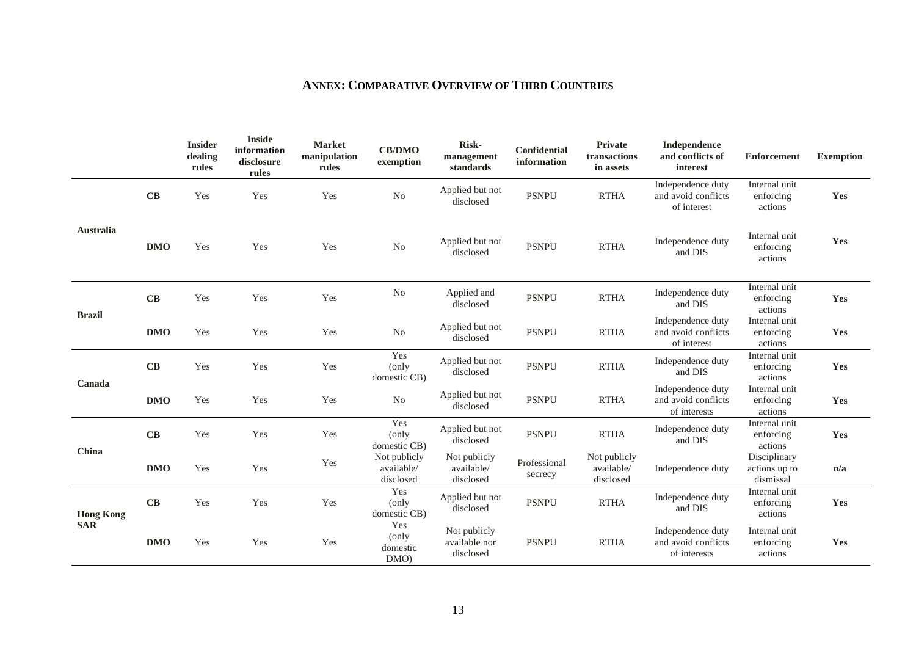# **ANNEX: COMPARATIVE OVERVIEW OF THIRD COUNTRIES**

|                                |            | <b>Insider</b><br>dealing<br>rules | <b>Inside</b><br>information<br>disclosure<br>rules | <b>Market</b><br>manipulation<br>rules | <b>CB/DMO</b><br>exemption              | Risk-<br>management<br>standards           | Confidential<br>information | Private<br>transactions<br>in assets    | Independence<br>and conflicts of<br>interest             | <b>Enforcement</b>                         | <b>Exemption</b> |
|--------------------------------|------------|------------------------------------|-----------------------------------------------------|----------------------------------------|-----------------------------------------|--------------------------------------------|-----------------------------|-----------------------------------------|----------------------------------------------------------|--------------------------------------------|------------------|
| <b>Australia</b>               | CB         | Yes                                | Yes                                                 | Yes                                    | N <sub>o</sub>                          | Applied but not<br>disclosed               | <b>PSNPU</b>                | <b>RTHA</b>                             | Independence duty<br>and avoid conflicts<br>of interest  | Internal unit<br>enforcing<br>actions      | Yes              |
|                                | <b>DMO</b> | Yes                                | Yes                                                 | Yes                                    | N <sub>o</sub>                          | Applied but not<br>disclosed               | <b>PSNPU</b>                | <b>RTHA</b>                             | Independence duty<br>and DIS                             | Internal unit<br>enforcing<br>actions      | Yes              |
| <b>Brazil</b>                  | CB         | Yes                                | Yes                                                 | Yes                                    | No                                      | Applied and<br>disclosed                   | <b>PSNPU</b>                | <b>RTHA</b>                             | Independence duty<br>and DIS                             | Internal unit<br>enforcing<br>actions      | Yes              |
|                                | <b>DMO</b> | Yes                                | Yes                                                 | Yes                                    | N <sub>o</sub>                          | Applied but not<br>disclosed               | <b>PSNPU</b>                | <b>RTHA</b>                             | Independence duty<br>and avoid conflicts<br>of interest  | Internal unit<br>enforcing<br>actions      | Yes              |
| Canada                         | CB         | Yes                                | Yes                                                 | Yes                                    | Yes<br>(only<br>domestic CB)            | Applied but not<br>disclosed               | <b>PSNPU</b>                | <b>RTHA</b>                             | Independence duty<br>and DIS                             | Internal unit<br>enforcing<br>actions      | Yes              |
|                                | <b>DMO</b> | Yes                                | Yes                                                 | Yes                                    | N <sub>0</sub>                          | Applied but not<br>disclosed               | <b>PSNPU</b>                | <b>RTHA</b>                             | Independence duty<br>and avoid conflicts<br>of interests | Internal unit<br>enforcing<br>actions      | Yes              |
| China                          | CB         | Yes                                | Yes                                                 | Yes                                    | Yes<br>(only<br>domestic CB)            | Applied but not<br>disclosed               | <b>PSNPU</b>                | <b>RTHA</b>                             | Independence duty<br>and DIS                             | Internal unit<br>enforcing<br>actions      | Yes              |
|                                | <b>DMO</b> | Yes                                | Yes                                                 | Yes                                    | Not publicly<br>available/<br>disclosed | Not publicly<br>available/<br>disclosed    | Professional<br>secrecy     | Not publicly<br>available/<br>disclosed | Independence duty                                        | Disciplinary<br>actions up to<br>dismissal | n/a              |
| <b>Hong Kong</b><br><b>SAR</b> | CB         | Yes                                | Yes                                                 | Yes                                    | Yes<br>(only<br>domestic CB)            | Applied but not<br>disclosed               | <b>PSNPU</b>                | <b>RTHA</b>                             | Independence duty<br>and DIS                             | Internal unit<br>enforcing<br>actions      | Yes              |
|                                | <b>DMO</b> | Yes                                | Yes                                                 | Yes                                    | Yes<br>(only<br>domestic<br>DMO         | Not publicly<br>available nor<br>disclosed | <b>PSNPU</b>                | <b>RTHA</b>                             | Independence duty<br>and avoid conflicts<br>of interests | Internal unit<br>enforcing<br>actions      | Yes              |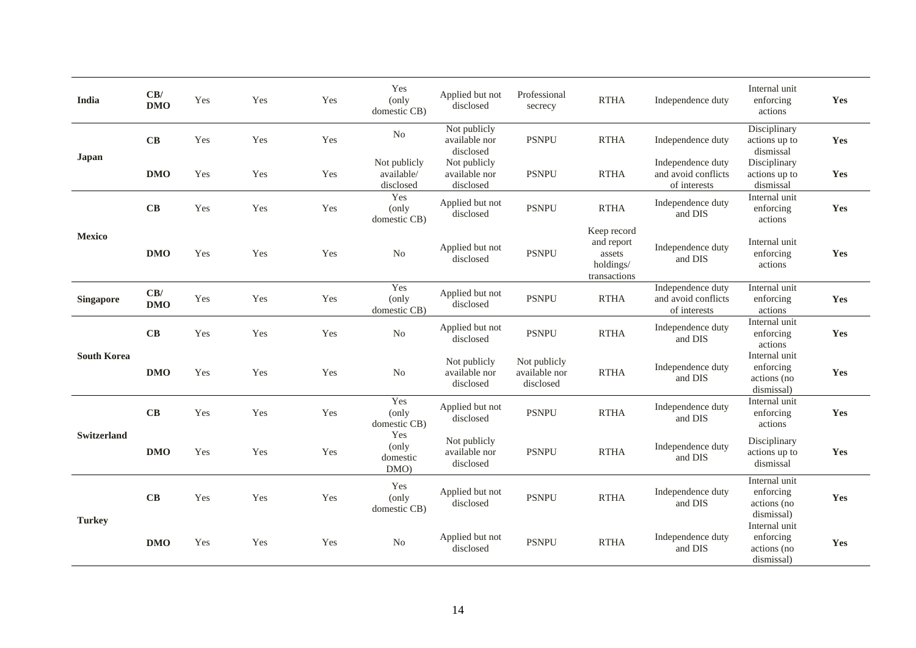| India              | CB/<br><b>DMO</b> | Yes | Yes | Yes | Yes<br>(only<br>domestic CB)            | Applied but not<br>disclosed               | Professional<br>secrecy                    | <b>RTHA</b>                                                      | Independence duty                                        | Internal unit<br>enforcing<br>actions                   | Yes |
|--------------------|-------------------|-----|-----|-----|-----------------------------------------|--------------------------------------------|--------------------------------------------|------------------------------------------------------------------|----------------------------------------------------------|---------------------------------------------------------|-----|
| Japan              | CB                | Yes | Yes | Yes | No                                      | Not publicly<br>available nor<br>disclosed | <b>PSNPU</b>                               | <b>RTHA</b>                                                      | Independence duty                                        | Disciplinary<br>actions up to<br>dismissal              | Yes |
|                    | <b>DMO</b>        | Yes | Yes | Yes | Not publicly<br>available/<br>disclosed | Not publicly<br>available nor<br>disclosed | <b>PSNPU</b>                               | <b>RTHA</b>                                                      | Independence duty<br>and avoid conflicts<br>of interests | Disciplinary<br>actions up to<br>dismissal              | Yes |
| <b>Mexico</b>      | CB                | Yes | Yes | Yes | Yes<br>(only<br>domestic CB)            | Applied but not<br>disclosed               | <b>PSNPU</b>                               | <b>RTHA</b>                                                      | Independence duty<br>and DIS                             | Internal unit<br>enforcing<br>actions                   | Yes |
|                    | <b>DMO</b>        | Yes | Yes | Yes | N <sub>o</sub>                          | Applied but not<br>disclosed               | <b>PSNPU</b>                               | Keep record<br>and report<br>assets<br>holdings/<br>transactions | Independence duty<br>and DIS                             | Internal unit<br>enforcing<br>actions                   | Yes |
| <b>Singapore</b>   | CB/<br><b>DMO</b> | Yes | Yes | Yes | Yes<br>(only<br>domestic CB)            | Applied but not<br>disclosed               | <b>PSNPU</b>                               | <b>RTHA</b>                                                      | Independence duty<br>and avoid conflicts<br>of interests | Internal unit<br>enforcing<br>actions                   | Yes |
| <b>South Korea</b> | CB                | Yes | Yes | Yes | N <sub>o</sub>                          | Applied but not<br>disclosed               | <b>PSNPU</b>                               | <b>RTHA</b>                                                      | Independence duty<br>and DIS                             | Internal unit<br>enforcing<br>actions                   | Yes |
|                    | DMO               | Yes | Yes | Yes | No                                      | Not publicly<br>available nor<br>disclosed | Not publicly<br>available nor<br>disclosed | <b>RTHA</b>                                                      | Independence duty<br>and DIS                             | Internal unit<br>enforcing<br>actions (no<br>dismissal) | Yes |
| <b>Switzerland</b> | CB                | Yes | Yes | Yes | Yes<br>(only<br>domestic CB)            | Applied but not<br>disclosed               | <b>PSNPU</b>                               | <b>RTHA</b>                                                      | Independence duty<br>and DIS                             | Internal unit<br>enforcing<br>actions                   | Yes |
|                    | <b>DMO</b>        | Yes | Yes | Yes | Yes<br>(only<br>domestic<br>DMO)        | Not publicly<br>available nor<br>disclosed | <b>PSNPU</b>                               | <b>RTHA</b>                                                      | Independence duty<br>and DIS                             | Disciplinary<br>actions up to<br>dismissal              | Yes |
| <b>Turkey</b>      | CB                | Yes | Yes | Yes | Yes<br>(only<br>domestic CB)            | Applied but not<br>disclosed               | <b>PSNPU</b>                               | <b>RTHA</b>                                                      | Independence duty<br>and DIS                             | Internal unit<br>enforcing<br>actions (no<br>dismissal) | Yes |
|                    | <b>DMO</b>        | Yes | Yes | Yes | N <sub>o</sub>                          | Applied but not<br>disclosed               | <b>PSNPU</b>                               | <b>RTHA</b>                                                      | Independence duty<br>and DIS                             | Internal unit<br>enforcing<br>actions (no<br>dismissal) | Yes |